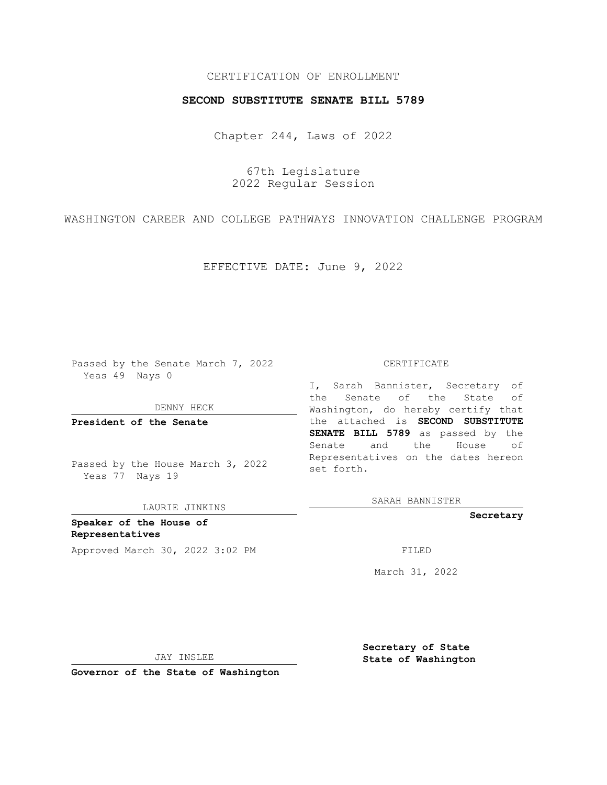## CERTIFICATION OF ENROLLMENT

## **SECOND SUBSTITUTE SENATE BILL 5789**

Chapter 244, Laws of 2022

67th Legislature 2022 Regular Session

WASHINGTON CAREER AND COLLEGE PATHWAYS INNOVATION CHALLENGE PROGRAM

EFFECTIVE DATE: June 9, 2022

Passed by the Senate March 7, 2022 Yeas 49 Nays 0

DENNY HECK

**President of the Senate**

Passed by the House March 3, 2022 Yeas 77 Nays 19

LAURIE JINKINS

**Speaker of the House of Representatives** Approved March 30, 2022 3:02 PM FILED

#### CERTIFICATE

I, Sarah Bannister, Secretary of the Senate of the State of Washington, do hereby certify that the attached is **SECOND SUBSTITUTE SENATE BILL 5789** as passed by the Senate and the House of Representatives on the dates hereon set forth.

SARAH BANNISTER

**Secretary**

March 31, 2022

JAY INSLEE

**Secretary of State State of Washington**

**Governor of the State of Washington**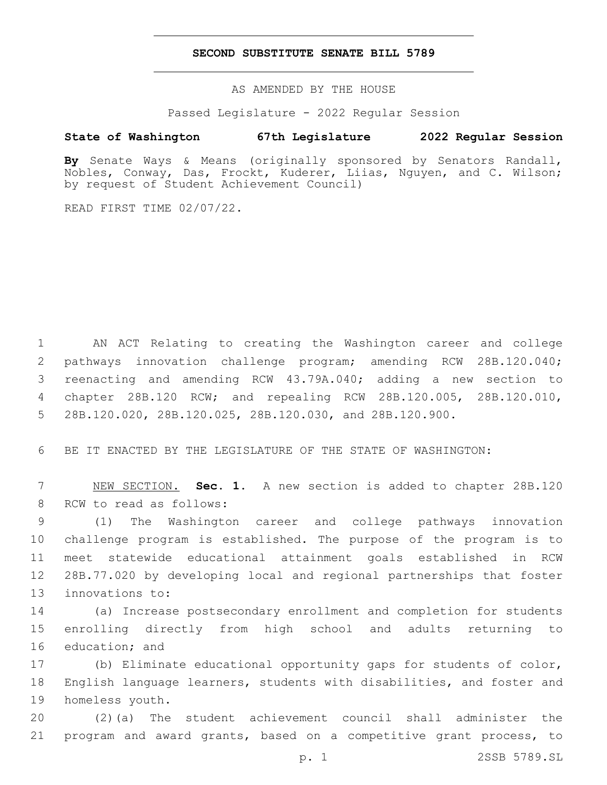## **SECOND SUBSTITUTE SENATE BILL 5789**

AS AMENDED BY THE HOUSE

Passed Legislature - 2022 Regular Session

# **State of Washington 67th Legislature 2022 Regular Session**

**By** Senate Ways & Means (originally sponsored by Senators Randall, Nobles, Conway, Das, Frockt, Kuderer, Liias, Nguyen, and C. Wilson; by request of Student Achievement Council)

READ FIRST TIME 02/07/22.

 AN ACT Relating to creating the Washington career and college pathways innovation challenge program; amending RCW 28B.120.040; reenacting and amending RCW 43.79A.040; adding a new section to chapter 28B.120 RCW; and repealing RCW 28B.120.005, 28B.120.010, 28B.120.020, 28B.120.025, 28B.120.030, and 28B.120.900.

6 BE IT ENACTED BY THE LEGISLATURE OF THE STATE OF WASHINGTON:

7 NEW SECTION. **Sec. 1.** A new section is added to chapter 28B.120 8 RCW to read as follows:

 (1) The Washington career and college pathways innovation challenge program is established. The purpose of the program is to meet statewide educational attainment goals established in RCW 28B.77.020 by developing local and regional partnerships that foster 13 innovations to:

14 (a) Increase postsecondary enrollment and completion for students 15 enrolling directly from high school and adults returning to 16 education; and

17 (b) Eliminate educational opportunity gaps for students of color, 18 English language learners, students with disabilities, and foster and 19 homeless youth.

20 (2)(a) The student achievement council shall administer the 21 program and award grants, based on a competitive grant process, to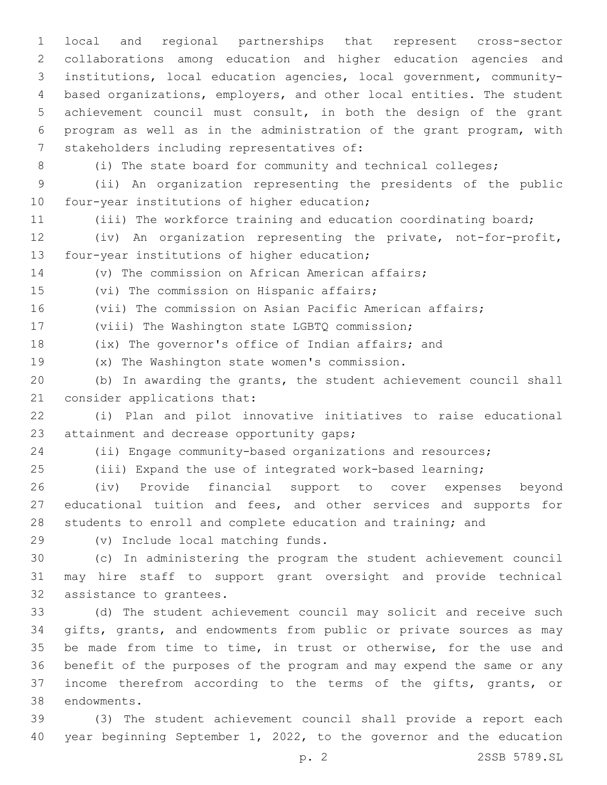local and regional partnerships that represent cross-sector collaborations among education and higher education agencies and institutions, local education agencies, local government, community- based organizations, employers, and other local entities. The student achievement council must consult, in both the design of the grant program as well as in the administration of the grant program, with 7 stakeholders including representatives of:

(i) The state board for community and technical colleges;

 (ii) An organization representing the presidents of the public 10 four-year institutions of higher education;

(iii) The workforce training and education coordinating board;

 (iv) An organization representing the private, not-for-profit, 13 four-year institutions of higher education;

(v) The commission on African American affairs;

15 (vi) The commission on Hispanic affairs;

(vii) The commission on Asian Pacific American affairs;

17 (viii) The Washington state LGBTQ commission;

(ix) The governor's office of Indian affairs; and

19 (x) The Washington state women's commission.

 (b) In awarding the grants, the student achievement council shall 21 consider applications that:

 (i) Plan and pilot innovative initiatives to raise educational 23 attainment and decrease opportunity gaps;

(ii) Engage community-based organizations and resources;

(iii) Expand the use of integrated work-based learning;

 (iv) Provide financial support to cover expenses beyond 27 educational tuition and fees, and other services and supports for students to enroll and complete education and training; and

(v) Include local matching funds.29

 (c) In administering the program the student achievement council may hire staff to support grant oversight and provide technical 32 assistance to grantees.

 (d) The student achievement council may solicit and receive such gifts, grants, and endowments from public or private sources as may be made from time to time, in trust or otherwise, for the use and benefit of the purposes of the program and may expend the same or any income therefrom according to the terms of the gifts, grants, or 38 endowments.

 (3) The student achievement council shall provide a report each year beginning September 1, 2022, to the governor and the education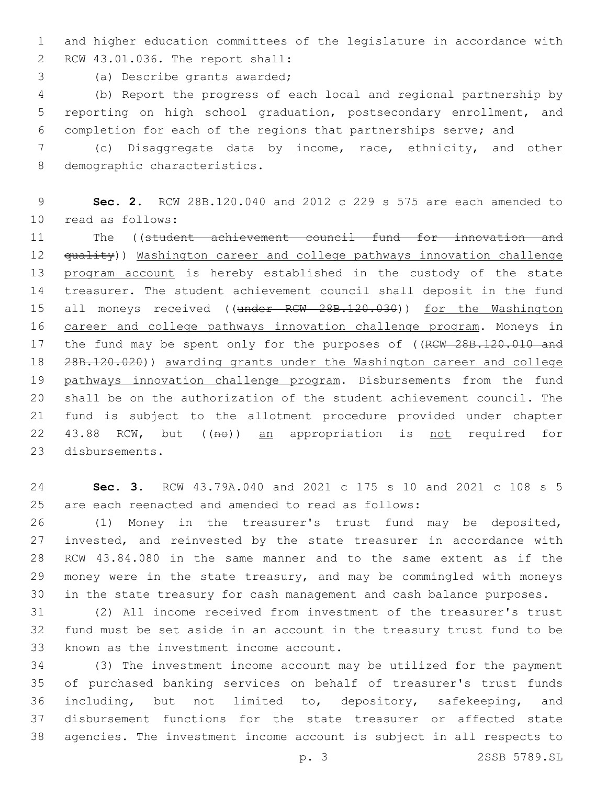and higher education committees of the legislature in accordance with RCW 43.01.036. The report shall:2

3 (a) Describe grants awarded;

 (b) Report the progress of each local and regional partnership by reporting on high school graduation, postsecondary enrollment, and completion for each of the regions that partnerships serve; and

 (c) Disaggregate data by income, race, ethnicity, and other 8 demographic characteristics.

 **Sec. 2.** RCW 28B.120.040 and 2012 c 229 s 575 are each amended to 10 read as follows:

 The ((student achievement council fund for innovation and 12 <del>quality</del>)) Washington career and college pathways innovation challenge 13 program account is hereby established in the custody of the state treasurer. The student achievement council shall deposit in the fund 15 all moneys received ((under RCW 28B.120.030)) for the Washington career and college pathways innovation challenge program. Moneys in 17 the fund may be spent only for the purposes of ((RCW 28B.120.010 and 28B.120.020)) awarding grants under the Washington career and college pathways innovation challenge program. Disbursements from the fund shall be on the authorization of the student achievement council. The fund is subject to the allotment procedure provided under chapter 22 43.88 RCW, but ((no)) an appropriation is not required for 23 disbursements.

 **Sec. 3.** RCW 43.79A.040 and 2021 c 175 s 10 and 2021 c 108 s 5 are each reenacted and amended to read as follows:

 (1) Money in the treasurer's trust fund may be deposited, invested, and reinvested by the state treasurer in accordance with RCW 43.84.080 in the same manner and to the same extent as if the money were in the state treasury, and may be commingled with moneys in the state treasury for cash management and cash balance purposes.

 (2) All income received from investment of the treasurer's trust fund must be set aside in an account in the treasury trust fund to be 33 known as the investment income account.

 (3) The investment income account may be utilized for the payment of purchased banking services on behalf of treasurer's trust funds including, but not limited to, depository, safekeeping, and disbursement functions for the state treasurer or affected state agencies. The investment income account is subject in all respects to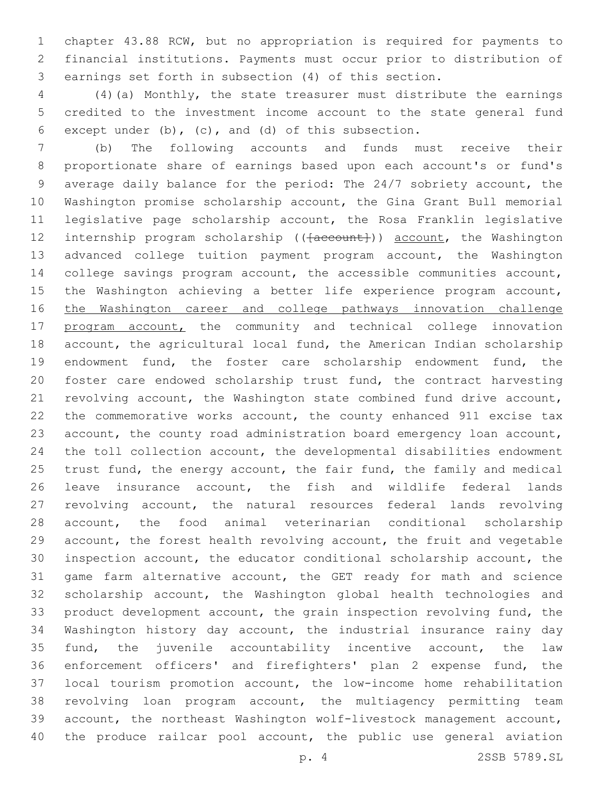chapter 43.88 RCW, but no appropriation is required for payments to financial institutions. Payments must occur prior to distribution of earnings set forth in subsection (4) of this section.

 (4)(a) Monthly, the state treasurer must distribute the earnings credited to the investment income account to the state general fund 6 except under (b), (c), and (d) of this subsection.

 (b) The following accounts and funds must receive their proportionate share of earnings based upon each account's or fund's average daily balance for the period: The 24/7 sobriety account, the Washington promise scholarship account, the Gina Grant Bull memorial legislative page scholarship account, the Rosa Franklin legislative 12 internship program scholarship (( $\{a$ ccount)) account, the Washington advanced college tuition payment program account, the Washington college savings program account, the accessible communities account, the Washington achieving a better life experience program account, the Washington career and college pathways innovation challenge 17 program account, the community and technical college innovation account, the agricultural local fund, the American Indian scholarship endowment fund, the foster care scholarship endowment fund, the foster care endowed scholarship trust fund, the contract harvesting revolving account, the Washington state combined fund drive account, the commemorative works account, the county enhanced 911 excise tax account, the county road administration board emergency loan account, the toll collection account, the developmental disabilities endowment 25 trust fund, the energy account, the fair fund, the family and medical leave insurance account, the fish and wildlife federal lands revolving account, the natural resources federal lands revolving account, the food animal veterinarian conditional scholarship account, the forest health revolving account, the fruit and vegetable inspection account, the educator conditional scholarship account, the game farm alternative account, the GET ready for math and science scholarship account, the Washington global health technologies and product development account, the grain inspection revolving fund, the Washington history day account, the industrial insurance rainy day fund, the juvenile accountability incentive account, the law enforcement officers' and firefighters' plan 2 expense fund, the local tourism promotion account, the low-income home rehabilitation revolving loan program account, the multiagency permitting team account, the northeast Washington wolf-livestock management account, 40 the produce railcar pool account, the public use general aviation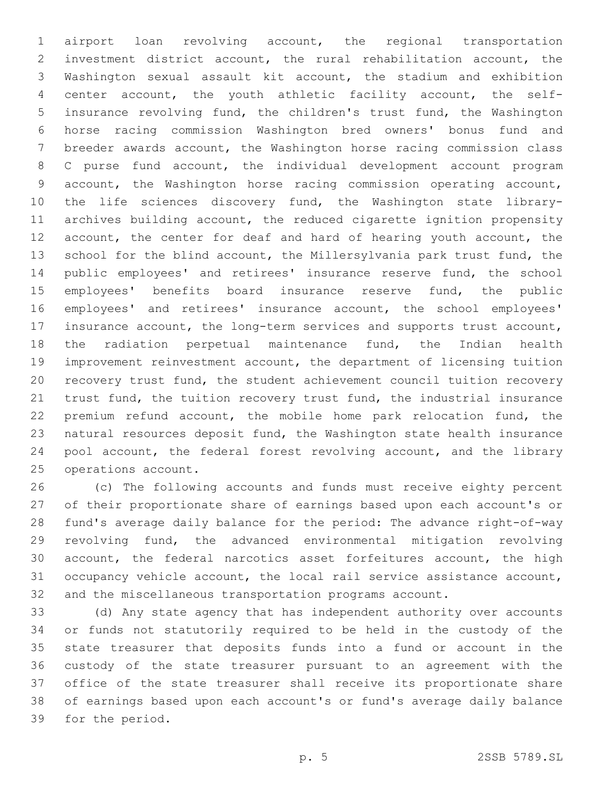airport loan revolving account, the regional transportation investment district account, the rural rehabilitation account, the Washington sexual assault kit account, the stadium and exhibition center account, the youth athletic facility account, the self- insurance revolving fund, the children's trust fund, the Washington horse racing commission Washington bred owners' bonus fund and breeder awards account, the Washington horse racing commission class C purse fund account, the individual development account program account, the Washington horse racing commission operating account, the life sciences discovery fund, the Washington state library- archives building account, the reduced cigarette ignition propensity 12 account, the center for deaf and hard of hearing youth account, the school for the blind account, the Millersylvania park trust fund, the public employees' and retirees' insurance reserve fund, the school employees' benefits board insurance reserve fund, the public employees' and retirees' insurance account, the school employees' insurance account, the long-term services and supports trust account, the radiation perpetual maintenance fund, the Indian health improvement reinvestment account, the department of licensing tuition recovery trust fund, the student achievement council tuition recovery trust fund, the tuition recovery trust fund, the industrial insurance premium refund account, the mobile home park relocation fund, the natural resources deposit fund, the Washington state health insurance pool account, the federal forest revolving account, and the library 25 operations account.

 (c) The following accounts and funds must receive eighty percent of their proportionate share of earnings based upon each account's or fund's average daily balance for the period: The advance right-of-way revolving fund, the advanced environmental mitigation revolving account, the federal narcotics asset forfeitures account, the high occupancy vehicle account, the local rail service assistance account, and the miscellaneous transportation programs account.

 (d) Any state agency that has independent authority over accounts or funds not statutorily required to be held in the custody of the state treasurer that deposits funds into a fund or account in the custody of the state treasurer pursuant to an agreement with the office of the state treasurer shall receive its proportionate share of earnings based upon each account's or fund's average daily balance 39 for the period.